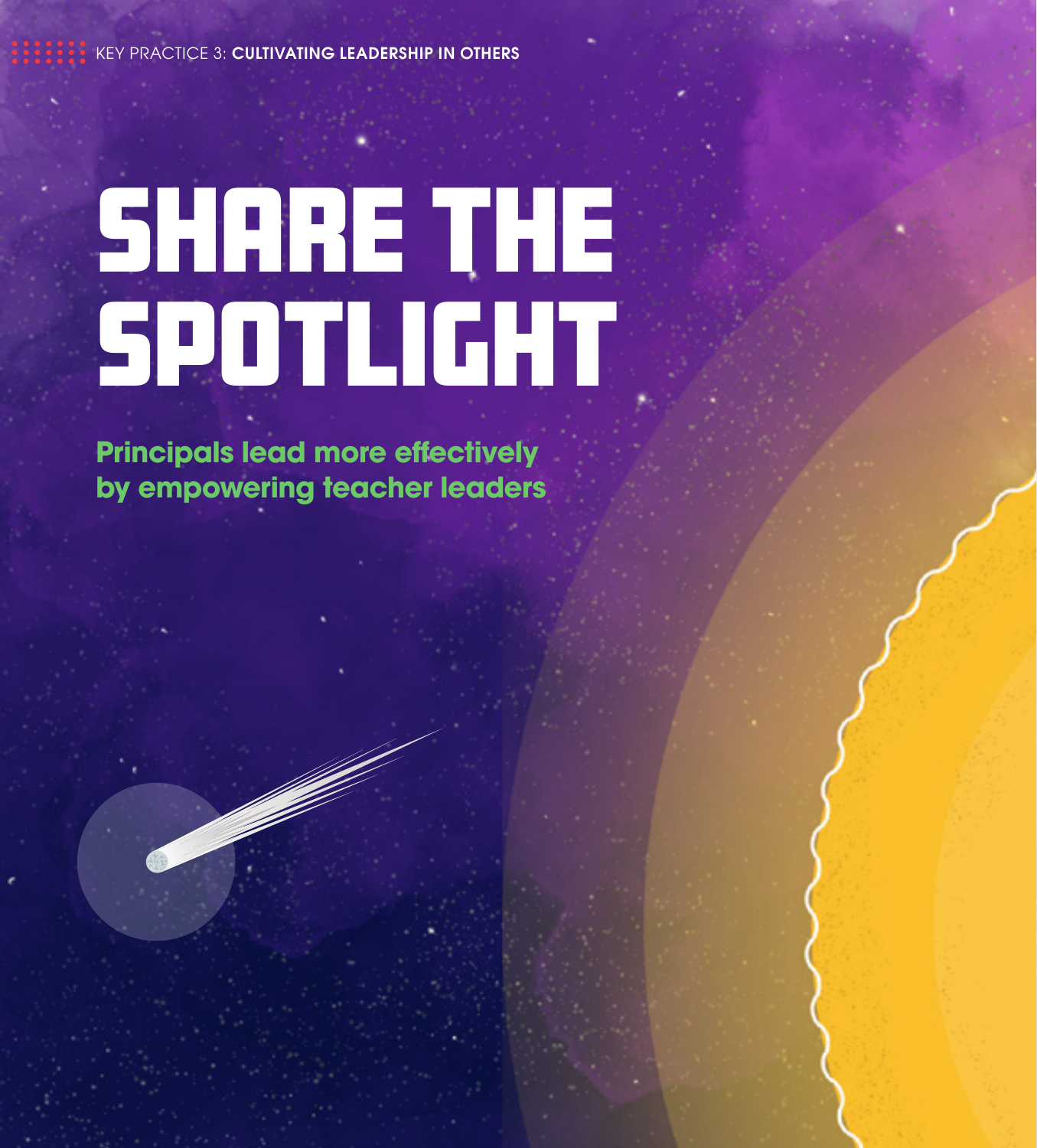KEY PRACTICE 3: CULTIVATING LEADERSHIP IN OTHERS

# SHARE THE **SPOTLIGHT**

**Principals lead more effectively by empowering teacher leaders**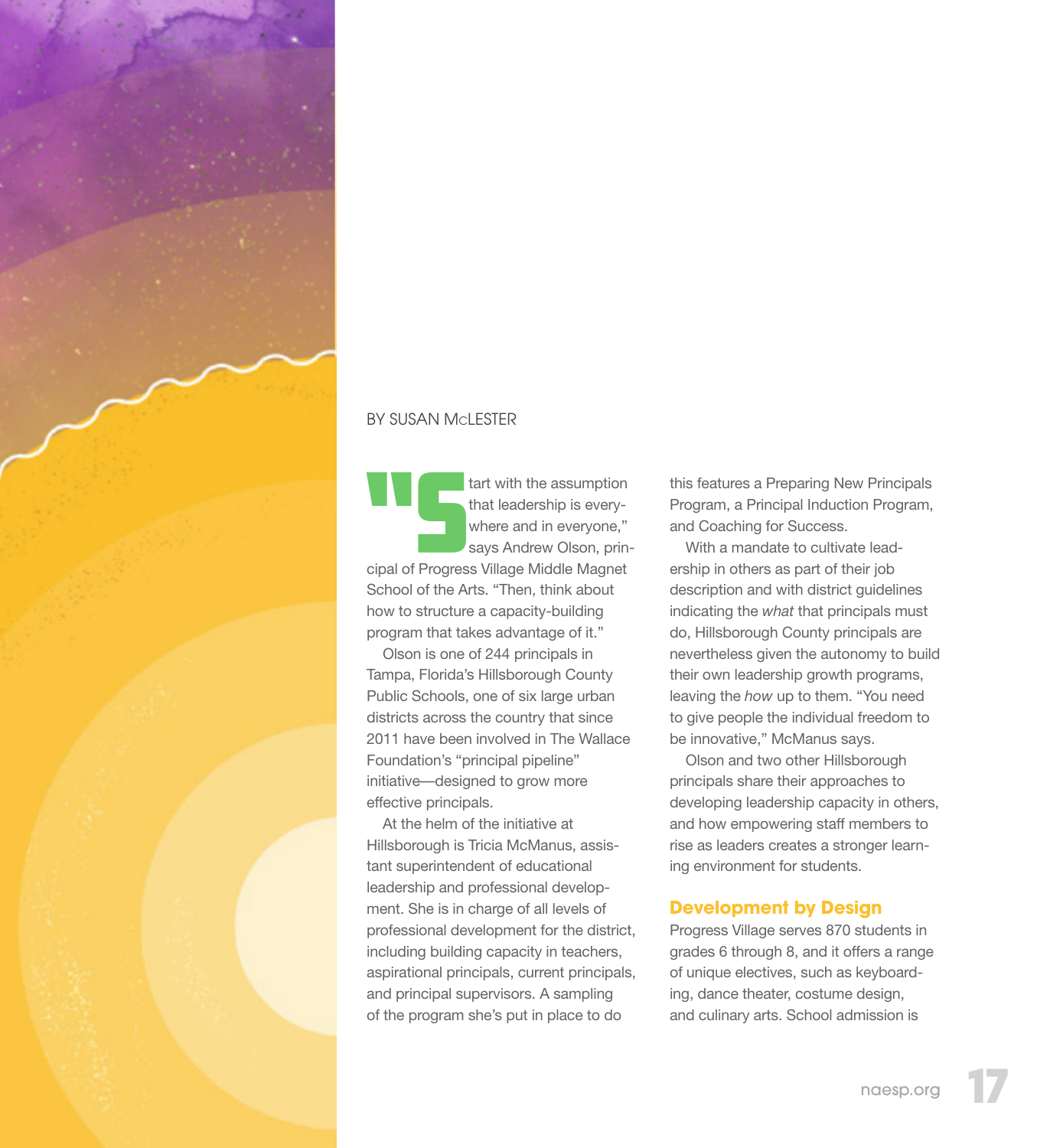

#### BY SUSAN McLESTER

tart with the assumption<br>
that leadership is every-<br>
where and in everyone,"<br>
says Andrew Olson, printhat leadership is everywhere and in everyone," cipal of Progress Village Middle Magnet School of the Arts. "Then, think about how to structure a capacity-building program that takes advantage of it."

Olson is one of 244 principals in Tampa, Florida's Hillsborough County Public Schools, one of six large urban districts across the country that since 2011 have been involved in The Wallace Foundation's "principal pipeline" initiative—designed to grow more effective principals.

At the helm of the initiative at Hillsborough is Tricia McManus, assistant superintendent of educational leadership and professional development. She is in charge of all levels of professional development for the district, including building capacity in teachers, aspirational principals, current principals, and principal supervisors. A sampling of the program she's put in place to do

this features a Preparing New Principals Program, a Principal Induction Program, and Coaching for Success.

With a mandate to cultivate leadership in others as part of their job description and with district guidelines indicating the *what* that principals must do, Hillsborough County principals are nevertheless given the autonomy to build their own leadership growth programs, leaving the *how* up to them. "You need to give people the individual freedom to be innovative," McManus says.

Olson and two other Hillsborough principals share their approaches to developing leadership capacity in others, and how empowering staff members to rise as leaders creates a stronger learning environment for students.

## **Development by Design**

Progress Village serves 870 students in grades 6 through 8, and it offers a range of unique electives, such as keyboarding, dance theater, costume design, and culinary arts. School admission is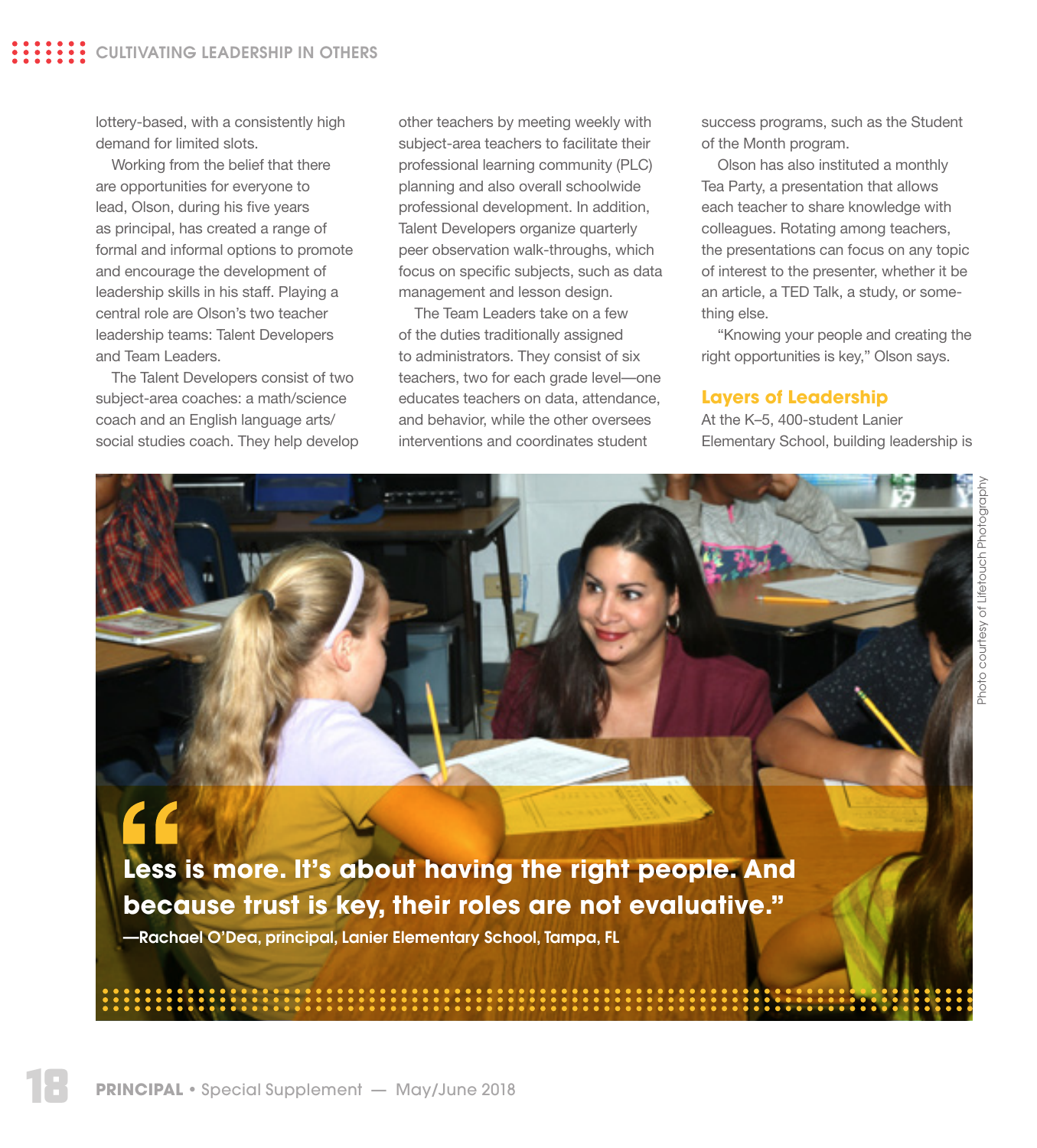lottery-based, with a consistently high demand for limited slots.

Working from the belief that there are opportunities for everyone to lead, Olson, during his five years as principal, has created a range of formal and informal options to promote and encourage the development of leadership skills in his staff. Playing a central role are Olson's two teacher leadership teams: Talent Developers and Team Leaders.

The Talent Developers consist of two subject-area coaches: a math/science coach and an English language arts/ social studies coach. They help develop

other teachers by meeting weekly with subject-area teachers to facilitate their professional learning community (PLC) planning and also overall schoolwide professional development. In addition, Talent Developers organize quarterly peer observation walk-throughs, which focus on specific subjects, such as data management and lesson design.

The Team Leaders take on a few of the duties traditionally assigned to administrators. They consist of six teachers, two for each grade level—one educates teachers on data, attendance, and behavior, while the other oversees interventions and coordinates student

success programs, such as the Student of the Month program.

Olson has also instituted a monthly Tea Party, a presentation that allows each teacher to share knowledge with colleagues. Rotating among teachers, the presentations can focus on any topic of interest to the presenter, whether it be an article, a TED Talk, a study, or something else.

"Knowing your people and creating the right opportunities is key," Olson says.

## **Layers of Leadership**

At the K–5, 400-student Lanier Elementary School, building leadership is

**Less is more. It's about having the right people. And because trust is key, their roles are not evaluative."** 

—Rachael O'Dea, principal, Lanier Elementary School, Tampa, FL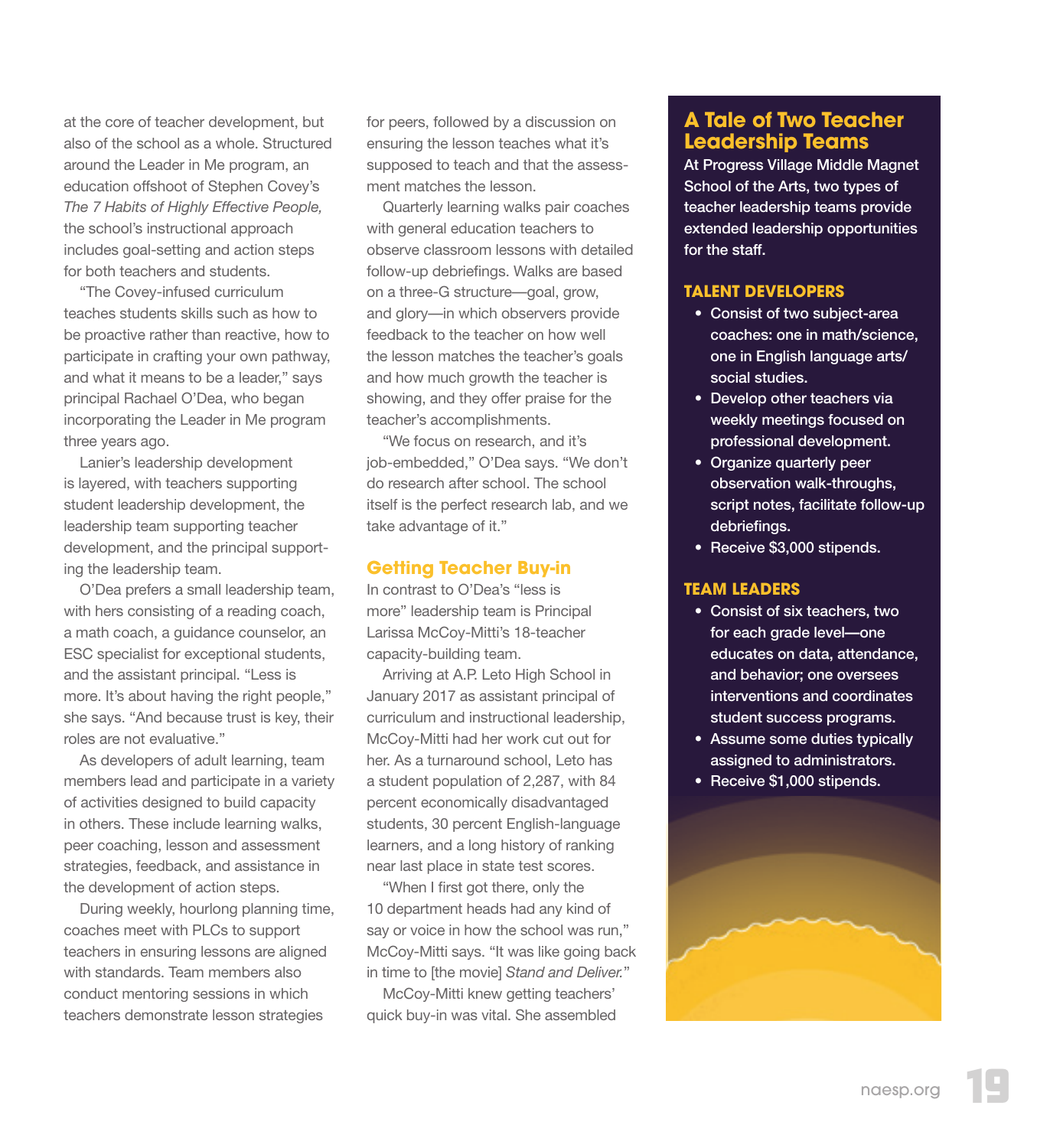at the core of teacher development, but also of the school as a whole. Structured around the Leader in Me program, an education offshoot of Stephen Covey's *The 7 Habits of Highly Effective People,* the school's instructional approach includes goal-setting and action steps for both teachers and students.

"The Covey-infused curriculum teaches students skills such as how to be proactive rather than reactive, how to participate in crafting your own pathway, and what it means to be a leader," says principal Rachael O'Dea, who began incorporating the Leader in Me program three years ago.

Lanier's leadership development is layered, with teachers supporting student leadership development, the leadership team supporting teacher development, and the principal supporting the leadership team.

O'Dea prefers a small leadership team, with hers consisting of a reading coach, a math coach, a guidance counselor, an ESC specialist for exceptional students, and the assistant principal. "Less is more. It's about having the right people," she says. "And because trust is key, their roles are not evaluative."

As developers of adult learning, team members lead and participate in a variety of activities designed to build capacity in others. These include learning walks, peer coaching, lesson and assessment strategies, feedback, and assistance in the development of action steps.

During weekly, hourlong planning time, coaches meet with PLCs to support teachers in ensuring lessons are aligned with standards. Team members also conduct mentoring sessions in which teachers demonstrate lesson strategies

for peers, followed by a discussion on ensuring the lesson teaches what it's supposed to teach and that the assessment matches the lesson.

Quarterly learning walks pair coaches with general education teachers to observe classroom lessons with detailed follow-up debriefings. Walks are based on a three-G structure—goal, grow, and glory—in which observers provide feedback to the teacher on how well the lesson matches the teacher's goals and how much growth the teacher is showing, and they offer praise for the teacher's accomplishments.

"We focus on research, and it's job-embedded," O'Dea says. "We don't do research after school. The school itself is the perfect research lab, and we take advantage of it."

#### **Getting Teacher Buy-in**

In contrast to O'Dea's "less is more" leadership team is Principal Larissa McCoy-Mitti's 18-teacher capacity-building team.

Arriving at A.P. Leto High School in January 2017 as assistant principal of curriculum and instructional leadership, McCoy-Mitti had her work cut out for her. As a turnaround school, Leto has a student population of 2,287, with 84 percent economically disadvantaged students, 30 percent English-language learners, and a long history of ranking near last place in state test scores.

"When I first got there, only the 10 department heads had any kind of say or voice in how the school was run," McCoy-Mitti says. "It was like going back in time to [the movie] *Stand and Deliver.*"

McCoy-Mitti knew getting teachers' quick buy-in was vital. She assembled

# **A Tale of Two Teacher Leadership Teams**

At Progress Village Middle Magnet School of the Arts, two types of teacher leadership teams provide extended leadership opportunities for the staff.

#### **TALENT DEVELOPERS**

- Consist of two subject-area coaches: one in math/science, one in English language arts/ social studies.
- Develop other teachers via weekly meetings focused on professional development.
- Organize quarterly peer observation walk-throughs, script notes, facilitate follow-up debriefings.
- Receive \$3,000 stipends.

#### **TEAM LEADERS**

- Consist of six teachers, two for each grade level-one educates on data, attendance, and behavior; one oversees interventions and coordinates student success programs.
- Assume some duties typically assigned to administrators.
- Receive \$1,000 stipends.

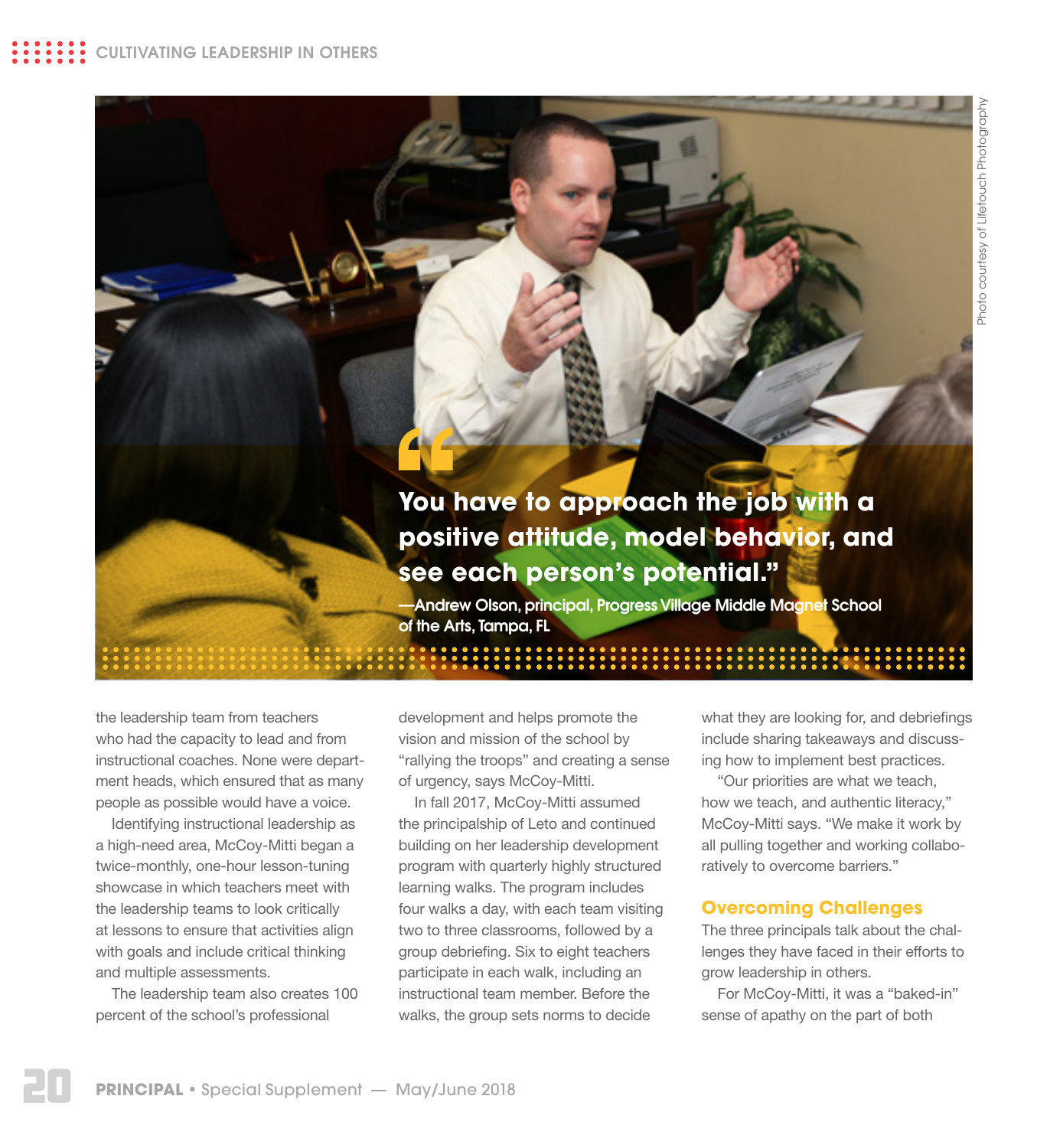# **You have to approach the job with a positive attitude, model behavior, and see each person's potential."**

—Andrew Olson, principal, Progress Village Middle Magnet School of the Arts, Tampa, FL

the leadership team from teachers who had the capacity to lead and from instructional coaches. None were department heads, which ensured that as many people as possible would have a voice.

Identifying instructional leadership as a high-need area, McCoy-Mitti began a twice-monthly, one-hour lesson-tuning showcase in which teachers meet with the leadership teams to look critically at lessons to ensure that activities align with goals and include critical thinking and multiple assessments.

The leadership team also creates 100 percent of the school's professional

development and helps promote the vision and mission of the school by "rallying the troops" and creating a sense of urgency, says McCoy-Mitti.

In fall 2017, McCoy-Mitti assumed the principalship of Leto and continued building on her leadership development program with quarterly highly structured learning walks. The program includes four walks a day, with each team visiting two to three classrooms, followed by a group debriefing. Six to eight teachers participate in each walk, including an instructional team member. Before the walks, the group sets norms to decide

what they are looking for, and debriefings include sharing takeaways and discussing how to implement best practices.

"Our priorities are what we teach, how we teach, and authentic literacy," McCoy-Mitti says. "We make it work by all pulling together and working collaboratively to overcome barriers."

# **Overcoming Challenges**

The three principals talk about the challenges they have faced in their efforts to grow leadership in others.

For McCoy-Mitti, it was a "baked-in" sense of apathy on the part of both